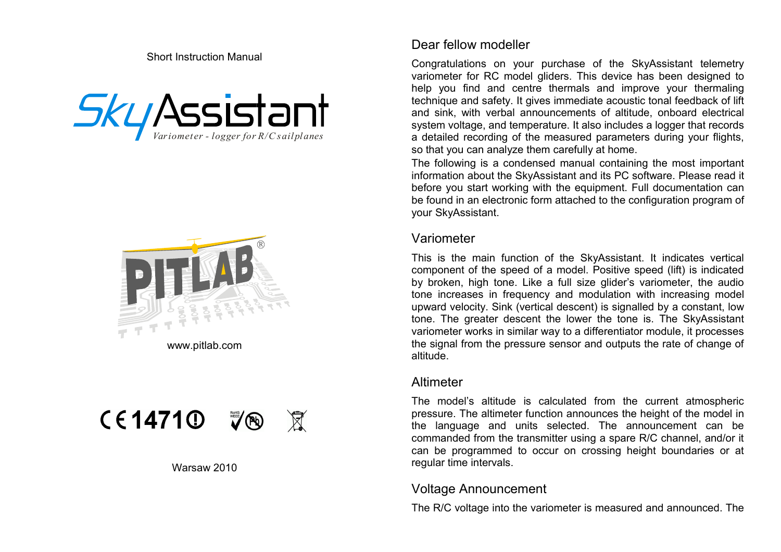Short Instruction Manual







#### Warsaw 2010

### Dear fellow modeller

Congratulations on your purchase of the SkyAssistant telemetry variometer for RC model gliders. This device has been designed to help you find and centre thermals and improve your thermaling technique and safety. It gives immediate acoustic tonal feedback of lift and sink, with verbal announcements of altitude, onboard electrical system voltage, and temperature. It also includes a logger that records a detailed recording of the measured parameters during your flights, so that you can analyze them carefully at home.

The following is a condensed manual containing the most important information about the SkyAssistant and its PC software. Please read it before you start working with the equipment. Full documentation can be found in an electronic form attached to the configuration program of your SkyAssistant.

#### Variometer

This is the main function of the SkyAssistant. It indicates vertical component of the speed of a model. Positive speed (lift) is indicated by broken, high tone. Like a full size glider's variometer, the audio tone increases in frequency and modulation with increasing model upward velocity. Sink (vertical descent) is signalled by a constant, low tone. The greater descent the lower the tone is. The SkyAssistant variometer works in similar way to a differentiator module, it processes the signal from the pressure sensor and outputs the rate of change of altitude.

#### Altimeter

The model's altitude is calculated from the current atmospheric pressure. The altimeter function announces the height of the model in the language and units selected. The announcement can be commanded from the transmitter using a spare R/C channel, and/or it can be programmed to occur on crossing height boundaries or at regular time intervals.

# Voltage Announcement

The R/C voltage into the variometer is measured and announced. The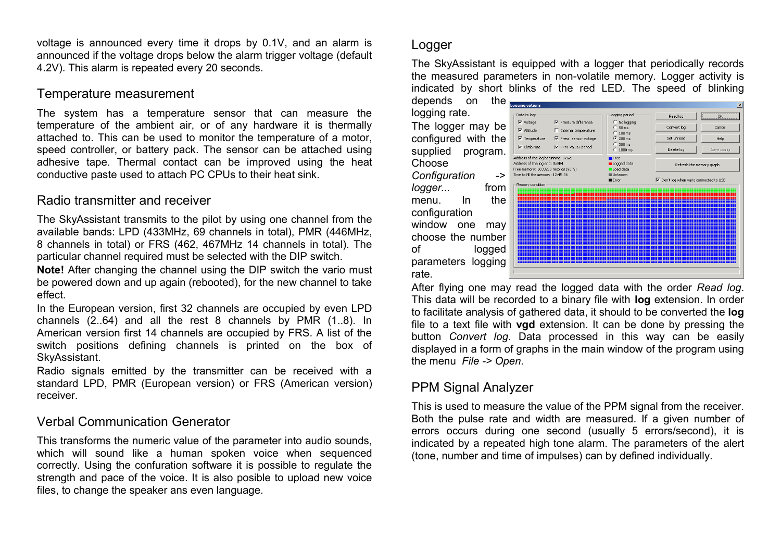voltage is announced every time it drops by 0.1V, and an alarm is announced if the voltage drops below the alarm trigger voltage (default 4.2V). This alarm is repeated every 20 seconds.

### Temperature measurement

The system has a temperature sensor that can measure the temperature of the ambient air, or of any hardware it is thermally attached to. This can be used to monitor the temperature of a motor, speed controller, or battery pack. The sensor can be attached using adhesive tape. Thermal contact can be improved using the heat conductive paste used to attach PC CPUs to their heat sink.

### Radio transmitter and receiver

The SkyAssistant transmits to the pilot by using one channel from the available bands: LPD (433MHz, 69 channels in total), PMR (446MHz, 8 channels in total) or FRS (462, 467MHz 14 channels in total). The particular channel required must be selected with the DIP switch.

**Note!** After changing the channel using the DIP switch the vario must be powered down and up again (rebooted), for the new channel to take effect.

In the European version, first 32 channels are occupied by even LPD channels (2..64) and all the rest 8 channels by PMR (1..8). In American version first 14 channels are occupied by FRS. A list of the switch positions defining channels is printed on the box of SkyAssistant.

Radio signals emitted by the transmitter can be received with a standard LPD, PMR (European version) or FRS (American version) receiver.

## Verbal Communication Generator

This transforms the numeric value of the parameter into audio sounds, which will sound like a human spoken voice when sequenced correctly. Using the confuration software it is possible to regulate the strength and pace of the voice. It is also posible to upload new voice files, to change the speaker ans even language.

## Logger

The SkyAssistant is equipped with a logger that periodically records the measured parameters in non-volatile memory. Logger activity is indicated by short blinks of the red LED. The speed of blinking

depends on the logging rate. The logger may be configured with the supplied program. Choose *Configuration ->*

*logger...* from menu. In the configuration window one may choose the number of logged parameters logging rate.

| <b>Logging options</b>                                                                                     |                                                          |                                       | $\vert x \vert$        |
|------------------------------------------------------------------------------------------------------------|----------------------------------------------------------|---------------------------------------|------------------------|
| Data to log:                                                                                               | Logging period                                           | Read log                              | $\overline{\text{OK}}$ |
| $\overline{\vee}$ Voltage<br>$\nabla$ Pressure difference<br>$\nabla$ Altitude<br>□ Internal temperature   | C No logging<br>50 <sub>ms</sub><br>$C_{100 \text{ ms}}$ | Convert log                           | Cancel                 |
| $\overline{\mathbf{v}}$ Temperature<br>Ⅳ Press, sensor voltage<br>$\nabla$ Climb rate<br>PPM: value+period | $\binom{200}{200}$ ms<br>$C$ 500 ms                      | Set unread                            | Help                   |
| Address of the log beginning: 0x621                                                                        | $C_{1000 \text{ ms}}$<br>$• Free$                        | Delete log                            | Save config            |
| Address of the log end: 0x8B4<br>Free memory: 1633280 records (90%)                                        | Logged data<br>Load data                                 | Refresh the memory graph              |                        |
| Time to fill the memory: 12:45:36                                                                          | <b>III</b> Inknown<br>$E$ Frror                          | Don't log when vario connected to USB |                        |
| Memory condition                                                                                           |                                                          |                                       |                        |

After flying one may read the logged data with the order *Read log*. This data will be recorded to a binary file with **log** extension. In order to facilitate analysis of gathered data, it should to be converted the **log** file to a text file with **vgd** extension. It can be done by pressing the button *Convert log*. Data processed in this way can be easily displayed in a form of graphs in the main window of the program using the menu *File -> Open*.

## PPM Signal Analyzer

This is used to measure the value of the PPM signal from the receiver. Both the pulse rate and width are measured. If a given number of errors occurs during one second (usually 5 errors/second), it is indicated by a repeated high tone alarm. The parameters of the alert (tone, number and time of impulses) can by defined individually.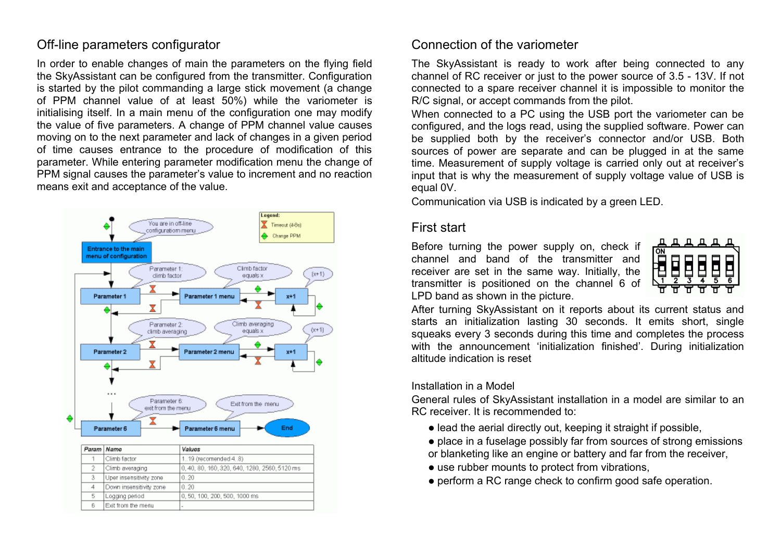## Off-line parameters configurator

 $\overline{5}$ 

6

Logging period

Exit from the menu

In order to enable changes of main the parameters on the flying field the SkyAssistant can be configured from the transmitter. Configuration is started by the pilot commanding a large stick movement (a change of PPM channel value of at least 50%) while the variometer is initialising itself. In a main menu of the configuration one may modify the value of five parameters. A change of PPM channel value causes moving on to the next parameter and lack of changes in a given period of time causes entrance to the procedure of modification of this parameter. While entering parameter modification menu the change of PPM signal causes the parameter's value to increment and no reaction means exit and acceptance of the value.



0, 50, 100, 200, 500, 1000 ms

## Connection of the variometer

The SkyAssistant is ready to work after being connected to any channel of RC receiver or just to the power source of 3.5 - 13V. If not connected to a spare receiver channel it is impossible to monitor the R/C signal, or accept commands from the pilot.

When connected to a PC using the USB port the variometer can be configured, and the logs read, using the supplied software. Power can be supplied both by the receiver's connector and/or USB. Both sources of power are separate and can be plugged in at the same time. Measurement of supply voltage is carried only out at receiver's input that is why the measurement of supply voltage value of USB is equal 0V.

Communication via USB is indicated by a green LED.

#### First start

Before turning the power supply on, check if channel and band of the transmitter and receiver are set in the same way. Initially, the transmitter is positioned on the channel 6 of LPD band as shown in the picture.



After turning SkyAssistant on it reports about its current status and starts an initialization lasting 30 seconds. It emits short, single squeaks every 3 seconds during this time and completes the process with the announcement 'initialization finished'. During initialization altitude indication is reset

#### Installation in a Model

General rules of SkyAssistant installation in a model are similar to an RC receiver. It is recommended to:

- lead the aerial directly out, keeping it straight if possible,
- place in a fuselage possibly far from sources of strong emissions or blanketing like an engine or battery and far from the receiver,
- use rubber mounts to protect from vibrations,
- perform a RC range check to confirm good safe operation.